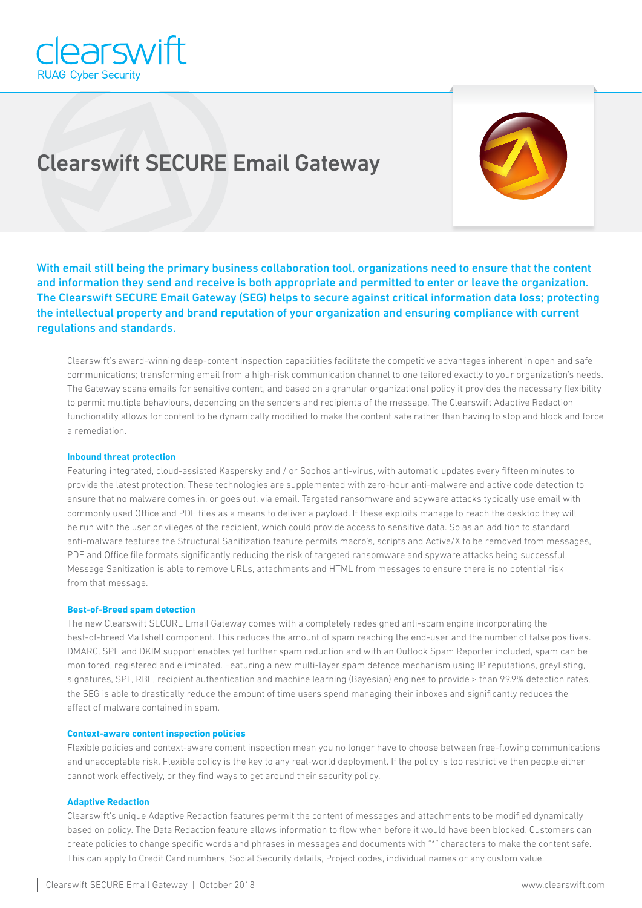

# Clearswift SECURE Email Gateway



With email still being the primary business collaboration tool, organizations need to ensure that the content and information they send and receive is both appropriate and permitted to enter or leave the organization. The Clearswift SECURE Email Gateway (SEG) helps to secure against critical information data loss; protecting the intellectual property and brand reputation of your organization and ensuring compliance with current regulations and standards.

Clearswift's award-winning deep-content inspection capabilities facilitate the competitive advantages inherent in open and safe communications; transforming email from a high-risk communication channel to one tailored exactly to your organization's needs. The Gateway scans emails for sensitive content, and based on a granular organizational policy it provides the necessary flexibility to permit multiple behaviours, depending on the senders and recipients of the message. The Clearswift Adaptive Redaction functionality allows for content to be dynamically modified to make the content safe rather than having to stop and block and force a remediation.

## **Inbound threat protection**

Featuring integrated, cloud-assisted Kaspersky and / or Sophos anti-virus, with automatic updates every fifteen minutes to provide the latest protection. These technologies are supplemented with zero-hour anti-malware and active code detection to ensure that no malware comes in, or goes out, via email. Targeted ransomware and spyware attacks typically use email with commonly used Office and PDF files as a means to deliver a payload. If these exploits manage to reach the desktop they will be run with the user privileges of the recipient, which could provide access to sensitive data. So as an addition to standard anti-malware features the Structural Sanitization feature permits macro's, scripts and Active/X to be removed from messages, PDF and Office file formats significantly reducing the risk of targeted ransomware and spyware attacks being successful. Message Sanitization is able to remove URLs, attachments and HTML from messages to ensure there is no potential risk from that message.

## **Best-of-Breed spam detection**

The new Clearswift SECURE Email Gateway comes with a completely redesigned anti-spam engine incorporating the best-of-breed Mailshell component. This reduces the amount of spam reaching the end-user and the number of false positives. DMARC, SPF and DKIM support enables yet further spam reduction and with an Outlook Spam Reporter included, spam can be monitored, registered and eliminated. Featuring a new multi-layer spam defence mechanism using IP reputations, greylisting, signatures, SPF, RBL, recipient authentication and machine learning (Bayesian) engines to provide > than 99.9% detection rates, the SEG is able to drastically reduce the amount of time users spend managing their inboxes and significantly reduces the effect of malware contained in spam.

#### **Context-aware content inspection policies**

Flexible policies and context-aware content inspection mean you no longer have to choose between free-flowing communications and unacceptable risk. Flexible policy is the key to any real-world deployment. If the policy is too restrictive then people either cannot work effectively, or they find ways to get around their security policy.

## **Adaptive Redaction**

Clearswift's unique Adaptive Redaction features permit the content of messages and attachments to be modified dynamically based on policy. The Data Redaction feature allows information to flow when before it would have been blocked. Customers can create policies to change specific words and phrases in messages and documents with "\*" characters to make the content safe. This can apply to Credit Card numbers, Social Security details, Project codes, individual names or any custom value.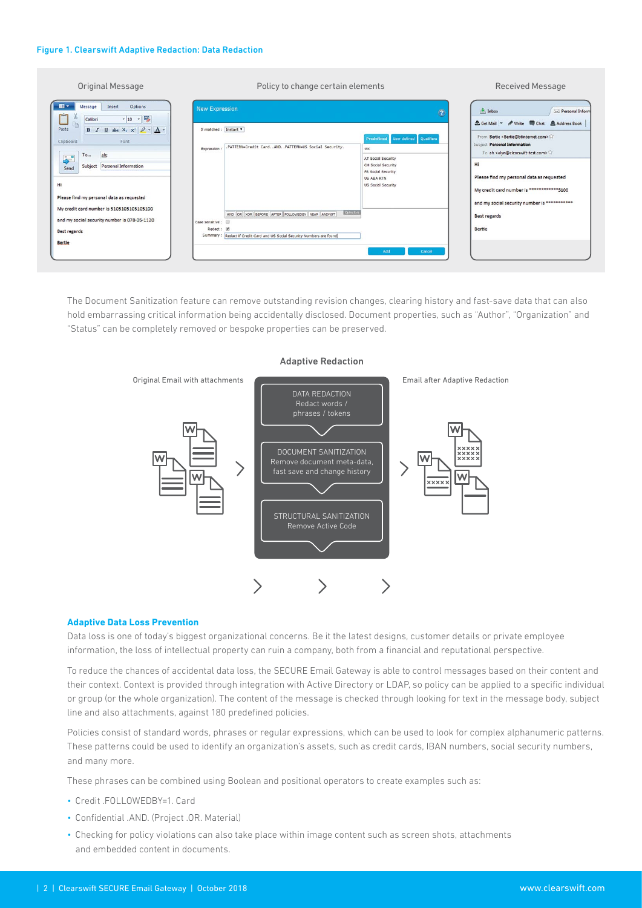#### Figure 1. Clearswift Adaptive Redaction: Data Redaction

| Original Message                                                                                                                                                                                                                                                                                                                                                                                                                                            | Policy to change certain elements                                                                                                                                                                                                                                                        | <b>Received Message</b>                                                                                                                                                                                                                                                                                                                                                                                |
|-------------------------------------------------------------------------------------------------------------------------------------------------------------------------------------------------------------------------------------------------------------------------------------------------------------------------------------------------------------------------------------------------------------------------------------------------------------|------------------------------------------------------------------------------------------------------------------------------------------------------------------------------------------------------------------------------------------------------------------------------------------|--------------------------------------------------------------------------------------------------------------------------------------------------------------------------------------------------------------------------------------------------------------------------------------------------------------------------------------------------------------------------------------------------------|
| $\blacksquare$<br>Options<br>Message<br>Insert<br>$-10 - \frac{100}{2}$<br>Calibri<br>$B$ $I$ $\underline{U}$ abe $X_1$ $X_1^2$ $\mathscr{Q}$ $\cdot$ $\underline{A}$ $\cdot$<br>Paste<br>Clipboard<br>Font<br>ah:<br>To<br>$\div$<br>Subject Personal Information<br>Send<br>Hi<br>Please find my personal data as requested<br>My credit card number is 5105105105105100<br>and my social security number is 078-05-1120<br>Best regards<br><b>Bertie</b> | <b>New Expression</b><br>$\bullet$<br>If matched : Instant<br>Predefined User defined Qualifiers<br>.PATTERN=Credit CardANDPATTERN=US Social Security.<br>soc<br>Expression<br>AT Social Security<br>CH Social Security<br>FR Social Security<br><b>US ABA RTN</b><br>US Social Security | Personal Inform<br>$h$ Inbox<br><u> Set Mail</u> ▼ / Write ■ Chat & Address Book<br>From Bertie <bertie@btinternet.com><br/>Subject Personal Information<br/>To ah <alyn@clearswift-test.com>12<br/>Hi<br/>Please find my personal data as requested<br/>My credit card number is ************5100<br/>and my social security number is ***********</alyn@clearswift-test.com></bertie@btinternet.com> |
|                                                                                                                                                                                                                                                                                                                                                                                                                                                             | <b>Operators</b><br>AND OR XOR BEFORE AFTER FOLLOWEDBY NEAR ANDNOT<br>Case sensitive :<br>Redact: @<br>Summary: Redact if Credit Card and US Social Security Numbers are found<br>Add<br>Cancel                                                                                          | <b>Best regards</b><br>Bertie                                                                                                                                                                                                                                                                                                                                                                          |

The Document Sanitization feature can remove outstanding revision changes, clearing history and fast-save data that can also hold embarrassing critical information being accidentally disclosed. Document properties, such as "Author", "Organization" and "Status" can be completely removed or bespoke properties can be preserved.



# **Adaptive Data Loss Prevention**

Data loss is one of today's biggest organizational concerns. Be it the latest designs, customer details or private employee information, the loss of intellectual property can ruin a company, both from a financial and reputational perspective.

To reduce the chances of accidental data loss, the SECURE Email Gateway is able to control messages based on their content and their context. Context is provided through integration with Active Directory or LDAP, so policy can be applied to a specific individual or group (or the whole organization). The content of the message is checked through looking for text in the message body, subject line and also attachments, against 180 predefined policies.

Policies consist of standard words, phrases or regular expressions, which can be used to look for complex alphanumeric patterns. These patterns could be used to identify an organization's assets, such as credit cards, IBAN numbers, social security numbers, and many more.

These phrases can be combined using Boolean and positional operators to create examples such as:

- Credit .FOLLOWEDBY=1. Card
- Confidential .AND. (Project .OR. Material)
- Checking for policy violations can also take place within image content such as screen shots, attachments and embedded content in documents.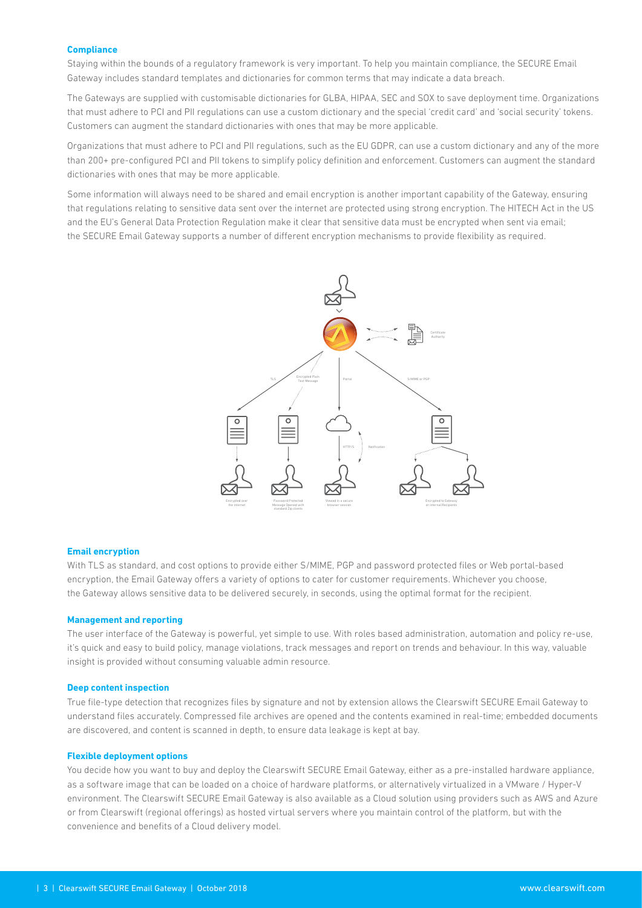## **Compliance**

Staying within the bounds of a regulatory framework is very important. To help you maintain compliance, the SECURE Email Gateway includes standard templates and dictionaries for common terms that may indicate a data breach.

The Gateways are supplied with customisable dictionaries for GLBA, HIPAA, SEC and SOX to save deployment time. Organizations that must adhere to PCI and PII regulations can use a custom dictionary and the special 'credit card' and 'social security' tokens. Customers can augment the standard dictionaries with ones that may be more applicable.

Organizations that must adhere to PCI and PII regulations, such as the EU GDPR, can use a custom dictionary and any of the more than 200+ pre-configured PCI and PII tokens to simplify policy definition and enforcement. Customers can augment the standard dictionaries with ones that may be more applicable.

Some information will always need to be shared and email encryption is another important capability of the Gateway, ensuring that regulations relating to sensitive data sent over the internet are protected using strong encryption. The HITECH Act in the US and the EU's General Data Protection Regulation make it clear that sensitive data must be encrypted when sent via email; the SECURE Email Gateway supports a number of different encryption mechanisms to provide flexibility as required.



#### **Email encryption**

With TLS as standard, and cost options to provide either S/MIME, PGP and password protected files or Web portal-based encryption, the Email Gateway offers a variety of options to cater for customer requirements. Whichever you choose, the Gateway allows sensitive data to be delivered securely, in seconds, using the optimal format for the recipient.

#### **Management and reporting**

The user interface of the Gateway is powerful, yet simple to use. With roles based administration, automation and policy re-use, it's quick and easy to build policy, manage violations, track messages and report on trends and behaviour. In this way, valuable insight is provided without consuming valuable admin resource.

## **Deep content inspection**

True file-type detection that recognizes files by signature and not by extension allows the Clearswift SECURE Email Gateway to understand files accurately. Compressed file archives are opened and the contents examined in real-time; embedded documents are discovered, and content is scanned in depth, to ensure data leakage is kept at bay.

#### **Flexible deployment options**

You decide how you want to buy and deploy the Clearswift SECURE Email Gateway, either as a pre-installed hardware appliance, as a software image that can be loaded on a choice of hardware platforms, or alternatively virtualized in a VMware / Hyper-V environment. The Clearswift SECURE Email Gateway is also available as a Cloud solution using providers such as AWS and Azure or from Clearswift (regional offerings) as hosted virtual servers where you maintain control of the platform, but with the convenience and benefits of a Cloud delivery model.